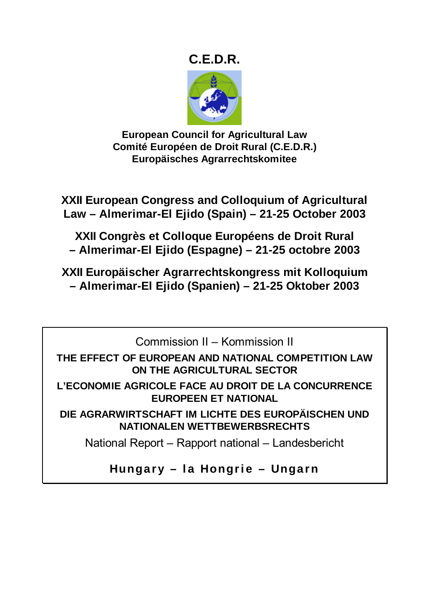# **C.E.D.R.**



**European Council for Agricultural Law Comité Européen de Droit Rural (C.E.D.R.) Europäisches Agrarrechtskomitee** 

**XXII European Congress and Colloquium of Agricultural Law – Almerimar-El Ejido (Spain) – 21-25 October 2003** 

**XXII Congrès et Colloque Européens de Droit Rural – Almerimar-El Ejido (Espagne) – 21-25 octobre 2003** 

**XXII Europäischer Agrarrechtskongress mit Kolloquium – Almerimar-El Ejido (Spanien) – 21-25 Oktober 2003** 

Commission II – Kommission II

**THE EFFECT OF EUROPEAN AND NATIONAL COMPETITION LAW ON THE AGRICULTURAL SECTOR** 

**L'ECONOMIE AGRICOLE FACE AU DROIT DE LA CONCURRENCE EUROPEEN ET NATIONAL** 

**DIE AGRARWIRTSCHAFT IM LICHTE DES EUROPÄISCHEN UND NATIONALEN WETTBEWERBSRECHTS** 

National Report – Rapport national – Landesbericht

**Hungary – la Hongrie – Ungarn**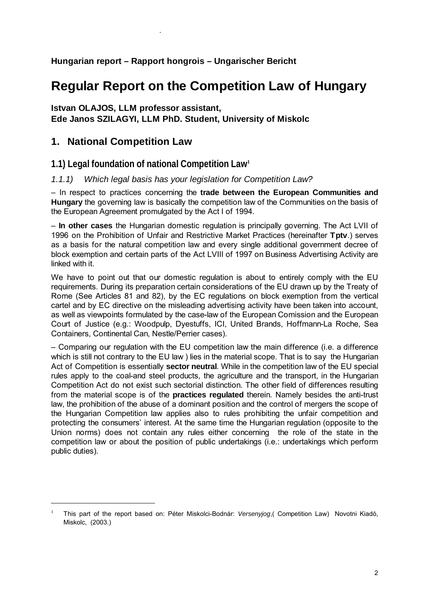# **Hungarian report – Rapport hongrois – Ungarischer Bericht**

# **Regular Report on the Competition Law of Hungary**

# **Istvan OLAJOS, LLM professor assistant,**

# **Ede Janos SZILAGYI, LLM PhD. Student, University of Miskolc**

# **1. National Competition Law**

 $\overline{a}$ 

.

# **1.1) Legal foundation of national Competition Law<sup>1</sup>**

# *1.1.1) Which legal basis has your legislation for Competition Law?*

– In respect to practices concerning the **trade between the European Communities and Hungary** the governing law is basically the competition law of the Communities on the basis of the European Agreement promulgated by the Act I of 1994.

– **In other cases** the Hungarian domestic regulation is principally governing. The Act LVII of 1996 on the Prohibition of Unfair and Restrictive Market Practices (hereinafter **Tptv**.) serves as a basis for the natural competition law and every single additional government decree of block exemption and certain parts of the Act LVIII of 1997 on Business Advertising Activity are linked with it.

We have to point out that our domestic regulation is about to entirely comply with the EU requirements. During its preparation certain considerations of the EU drawn up by the Treaty of Rome (See Articles 81 and 82), by the EC regulations on block exemption from the vertical cartel and by EC directive on the misleading advertising activity have been taken into account, as well as viewpoints formulated by the case-law of the European Comission and the European Court of Justice (e.g.: Woodpulp, Dyestuffs, ICI, United Brands, Hoffmann-La Roche, Sea Containers, Continental Can, Nestle/Perrier cases).

– Comparing our regulation with the EU competition law the main difference (i.e. a difference which is still not contrary to the EU law ) lies in the material scope. That is to say the Hungarian Act of Competition is essentially **sector neutral**. While in the competition law of the EU special rules apply to the coal-and steel products, the agriculture and the transport, in the Hungarian Competition Act do not exist such sectorial distinction. The other field of differences resulting from the material scope is of the **practices regulated** therein. Namely besides the anti-trust law, the prohibition of the abuse of a dominant position and the control of mergers the scope of the Hungarian Competition law applies also to rules prohibiting the unfair competition and protecting the consumers' interest. At the same time the Hungarian regulation (opposite to the Union norms) does not contain any rules either concerning the role of the state in the competition law or about the position of public undertakings (i.e.: undertakings which perform public duties).

<sup>&</sup>lt;sup>1</sup> This part of the report based on: Péter Miskolci-Bodnár: *Versenyjog*,( Competition Law) Novotni Kiadó, Miskolc, (2003.)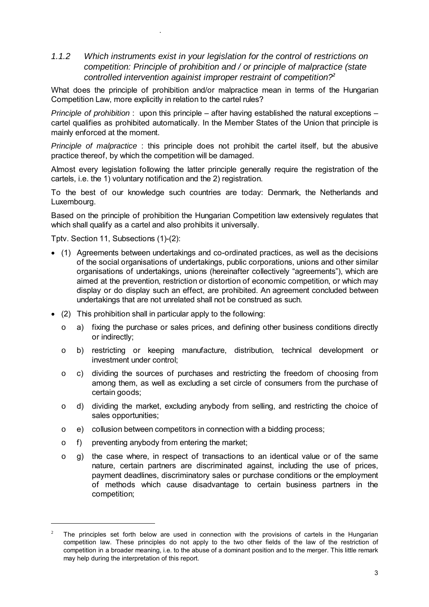# *1.1.2 Which instruments exist in your legislation for the control of restrictions on competition: Principle of prohibition and / or principle of malpractice (state controlled intervention againist improper restraint of competition?<sup>2</sup>*

What does the principle of prohibition and/or malpractice mean in terms of the Hungarian Competition Law, more explicitly in relation to the cartel rules?

*Principle of prohibition* : upon this principle – after having established the natural exceptions – cartel qualifies as prohibited automatically. In the Member States of the Union that principle is mainly enforced at the moment.

*Principle of malpractice* : this principle does not prohibit the cartel itself, but the abusive practice thereof, by which the competition will be damaged.

Almost every legislation following the latter principle generally require the registration of the cartels, i.e. the 1) voluntary notification and the 2) registration.

To the best of our knowledge such countries are today: Denmark, the Netherlands and Luxembourg.

Based on the principle of prohibition the Hungarian Competition law extensively regulates that which shall qualify as a cartel and also prohibits it universally.

Tptv. Section 11, Subsections (1)-(2):

.

- (1) Agreements between undertakings and co-ordinated practices, as well as the decisions of the social organisations of undertakings, public corporations, unions and other similar organisations of undertakings, unions (hereinafter collectively "agreements"), which are aimed at the prevention, restriction or distortion of economic competition, or which may display or do display such an effect, are prohibited. An agreement concluded between undertakings that are not unrelated shall not be construed as such.
- (2) This prohibition shall in particular apply to the following:
	- o a) fixing the purchase or sales prices, and defining other business conditions directly or indirectly;
	- o b) restricting or keeping manufacture, distribution, technical development or investment under control;
	- $\circ$  c) dividing the sources of purchases and restricting the freedom of choosing from among them, as well as excluding a set circle of consumers from the purchase of certain goods;
	- o d) dividing the market, excluding anybody from selling, and restricting the choice of sales opportunities;
	- $\circ$  e) collusion between competitors in connection with a bidding process;
	- o f) preventing anybody from entering the market;

 $\overline{a}$ 

o g) the case where, in respect of transactions to an identical value or of the same nature, certain partners are discriminated against, including the use of prices, payment deadlines, discriminatory sales or purchase conditions or the employment of methods which cause disadvantage to certain business partners in the competition;

<sup>2</sup> The principles set forth below are used in connection with the provisions of cartels in the Hungarian competition law. These principles do not apply to the two other fields of the law of the restriction of competition in a broader meaning, i.e. to the abuse of a dominant position and to the merger. This little remark may help during the interpretation of this report.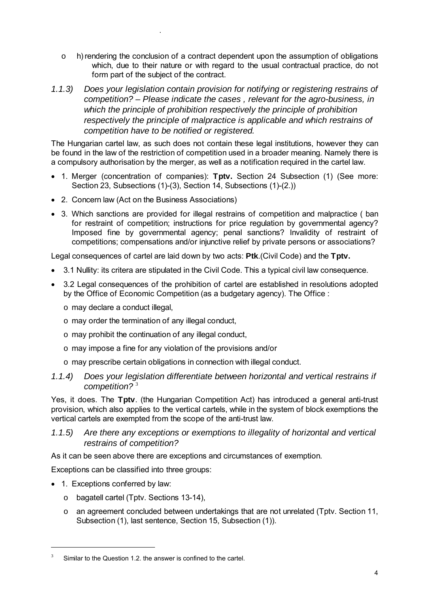- o h) rendering the conclusion of a contract dependent upon the assumption of obligations which, due to their nature or with regard to the usual contractual practice, do not form part of the subject of the contract.
- *1.1.3) Does your legislation contain provision for notifying or registering restrains of competition? – Please indicate the cases , relevant for the agro-business, in which the principle of prohibition respectively the principle of prohibition respectively the principle of malpractice is applicable and which restrains of competition have to be notified or registered.*

The Hungarian cartel law, as such does not contain these legal institutions, however they can be found in the law of the restriction of competition used in a broader meaning. Namely there is a compulsory authorisation by the merger, as well as a notification required in the cartel law.

- 1. Merger (concentration of companies): **Tptv.** Section 24 Subsection (1) (See more: Section 23, Subsections (1)-(3), Section 14, Subsections (1)-(2.))
- 2. Concern law (Act on the Business Associations)
- 3. Which sanctions are provided for illegal restrains of competition and malpractice ( ban for restraint of competition; instructions for price regulation by governmental agency? Imposed fine by governmental agency; penal sanctions? Invalidity of restraint of competitions; compensations and/or injunctive relief by private persons or associations?

Legal consequences of cartel are laid down by two acts: **Ptk**.(Civil Code) and the **Tptv.** 

- 3.1 Nullity: its critera are stipulated in the Civil Code. This a typical civil law consequence.
- 3.2 Legal consequences of the prohibition of cartel are established in resolutions adopted by the Office of Economic Competition (as a budgetary agency). The Office :
	- o may declare a conduct illegal,

.

- o may order the termination of any illegal conduct,
- o may prohibit the continuation of any illegal conduct,
- o may impose a fine for any violation of the provisions and/or
- o may prescribe certain obligations in connection with illegal conduct.

### *1.1.4) Does your legislation differentiate between horizontal and vertical restrains if competition?* <sup>3</sup>

Yes, it does. The **Tptv**. (the Hungarian Competition Act) has introduced a general anti-trust provision, which also applies to the vertical cartels, while in the system of block exemptions the vertical cartels are exempted from the scope of the anti-trust law.

# *1.1.5) Are there any exceptions or exemptions to illegality of horizontal and vertical restrains of competition?*

As it can be seen above there are exceptions and circumstances of exemption.

Exceptions can be classified into three groups:

• 1. Exceptions conferred by law:

 $\overline{a}$ 

- o bagatell cartel (Tptv. Sections 13-14),
- o an agreement concluded between undertakings that are not unrelated (Tptv. Section 11, Subsection (1), last sentence, Section 15, Subsection (1)).

<sup>3</sup> Similar to the Question 1.2. the answer is confined to the cartel.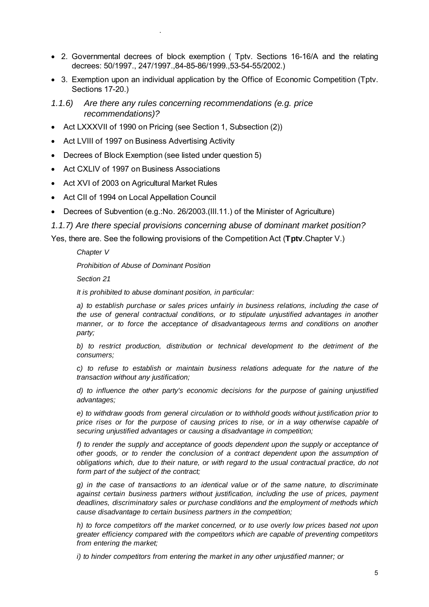- 2. Governmental decrees of block exemption ( Tptv. Sections 16-16/A and the relating decrees: 50/1997., 247/1997.,84-85-86/1999.,53-54-55/2002.)
- 3. Exemption upon an individual application by the Office of Economic Competition (Tptv. Sections 17-20.)
- *1.1.6) Are there any rules concerning recommendations (e.g. price recommendations)?*
- Act LXXXVII of 1990 on Pricing (see Section 1, Subsection (2))
- Act LVIII of 1997 on Business Advertising Activity
- Decrees of Block Exemption (see listed under question 5)
- Act CXLIV of 1997 on Business Associations

.

- Act XVI of 2003 on Agricultural Market Rules
- Act CII of 1994 on Local Appellation Council
- Decrees of Subvention (e.g.:No. 26/2003.(III.11.) of the Minister of Agriculture)

*1.1.7) Are there special provisions concerning abuse of dominant market position?* 

Yes, there are. See the following provisions of the Competition Act (**Tptv**.Chapter V.)

*Chapter V* 

*Prohibition of Abuse of Dominant Position* 

*Section 21* 

*It is prohibited to abuse dominant position, in particular:* 

*a) to establish purchase or sales prices unfairly in business relations, including the case of the use of general contractual conditions, or to stipulate unjustified advantages in another manner, or to force the acceptance of disadvantageous terms and conditions on another party;* 

*b) to restrict production, distribution or technical development to the detriment of the consumers;* 

*c) to refuse to establish or maintain business relations adequate for the nature of the transaction without any justification;* 

*d) to influence the other party's economic decisions for the purpose of gaining unjustified advantages;* 

*e) to withdraw goods from general circulation or to withhold goods without justification prior to price rises or for the purpose of causing prices to rise, or in a way otherwise capable of securing unjustified advantages or causing a disadvantage in competition;* 

f) to render the supply and acceptance of goods dependent upon the supply or acceptance of *other goods, or to render the conclusion of a contract dependent upon the assumption of obligations which, due to their nature, or with regard to the usual contractual practice, do not form part of the subject of the contract;* 

*g) in the case of transactions to an identical value or of the same nature, to discriminate against certain business partners without justification, including the use of prices, payment deadlines, discriminatory sales or purchase conditions and the employment of methods which cause disadvantage to certain business partners in the competition;* 

*h) to force competitors off the market concerned, or to use overly low prices based not upon greater efficiency compared with the competitors which are capable of preventing competitors from entering the market;* 

*i) to hinder competitors from entering the market in any other unjustified manner; or*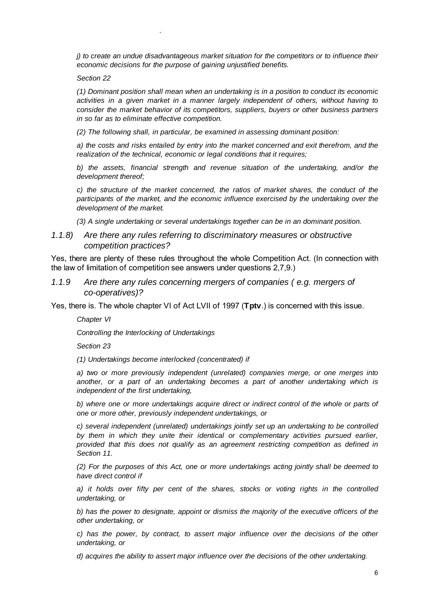*j) to create an undue disadvantageous market situation for the competitors or to influence their economic decisions for the purpose of gaining unjustified benefits.* 

*Section 22* 

.

*(1) Dominant position shall mean when an undertaking is in a position to conduct its economic activities in a given market in a manner largely independent of others, without having to consider the market behavior of its competitors, suppliers, buyers or other business partners in so far as to eliminate effective competition.* 

*(2) The following shall, in particular, be examined in assessing dominant position:* 

*a) the costs and risks entailed by entry into the market concerned and exit therefrom, and the realization of the technical, economic or legal conditions that it requires;* 

*b) the assets, financial strength and revenue situation of the undertaking, and/or the development thereof;* 

*c) the structure of the market concerned, the ratios of market shares, the conduct of the participants of the market, and the economic influence exercised by the undertaking over the development of the market.* 

*(3) A single undertaking or several undertakings together can be in an dominant position.*

### *1.1.8) Are there any rules referring to discriminatory measures or obstructive competition practices?*

Yes, there are plenty of these rules throughout the whole Competition Act. (In connection with the law of limitation of competition see answers under questions 2,7,9.)

### *1.1.9 Are there any rules concerning mergers of companies ( e.g. mergers of co-operatives)?*

Yes, there is. The whole chapter VI of Act LVII of 1997 (**Tptv**.) is concerned with this issue.

*Chapter VI* 

*Controlling the Interlocking of Undertakings* 

*Section 23* 

*(1) Undertakings become interlocked (concentrated) if* 

*a) two or more previously independent (unrelated) companies merge, or one merges into another, or a part of an undertaking becomes a part of another undertaking which is independent of the first undertaking,* 

*b) where one or more undertakings acquire direct or indirect control of the whole or parts of one or more other, previously independent undertakings, or* 

*c) several independent (unrelated) undertakings jointly set up an undertaking to be controlled by them in which they unite their identical or complementary activities pursued earlier, provided that this does not qualify as an agreement restricting competition as defined in Section 11.* 

*(2) For the purposes of this Act, one or more undertakings acting jointly shall be deemed to have direct control if* 

*a) it holds over fifty per cent of the shares, stocks or voting rights in the controlled undertaking, or* 

*b) has the power to designate, appoint or dismiss the majority of the executive officers of the other undertaking, or* 

*c) has the power, by contract, to assert major influence over the decisions of the other undertaking, or* 

*d) acquires the ability to assert major influence over the decisions of the other undertaking.*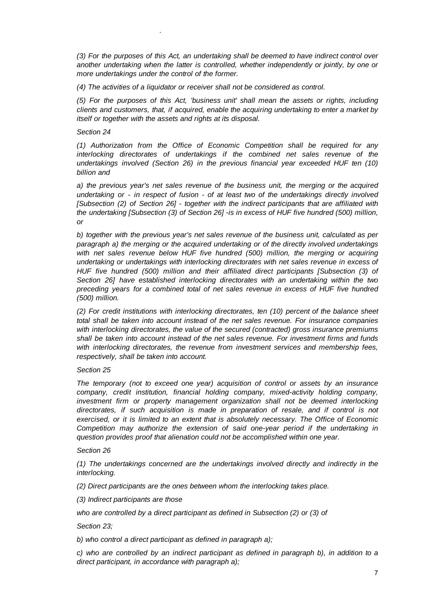*(3) For the purposes of this Act, an undertaking shall be deemed to have indirect control over another undertaking when the latter is controlled, whether independently or jointly, by one or more undertakings under the control of the former.* 

*(4) The activities of a liquidator or receiver shall not be considered as control.* 

*(5) For the purposes of this Act, 'business unit' shall mean the assets or rights, including clients and customers, that, if acquired, enable the acquiring undertaking to enter a market by itself or together with the assets and rights at its disposal.* 

#### *Section 24*

.

*(1) Authorization from the Office of Economic Competition shall be required for any interlocking directorates of undertakings if the combined net sales revenue of the undertakings involved (Section 26) in the previous financial year exceeded HUF ten (10) billion and* 

*a) the previous year's net sales revenue of the business unit, the merging or the acquired undertaking or - in respect of fusion - of at least two of the undertakings directly involved [Subsection (2) of Section 26] - together with the indirect participants that are affiliated with the undertaking [Subsection (3) of Section 26] -is in excess of HUF five hundred (500) million, or* 

*b) together with the previous year's net sales revenue of the business unit, calculated as per paragraph a) the merging or the acquired undertaking or of the directly involved undertakings*  with net sales revenue below HUF five hundred (500) million, the merging or acquiring *undertaking or undertakings with interlocking directorates with net sales revenue in excess of HUF five hundred (500) million and their affiliated direct participants [Subsection (3) of Section 26] have established interlocking directorates with an undertaking within the two preceding years for a combined total of net sales revenue in excess of HUF five hundred (500) million.* 

*(2) For credit institutions with interlocking directorates, ten (10) percent of the balance sheet total shall be taken into account instead of the net sales revenue. For insurance companies with interlocking directorates, the value of the secured (contracted) gross insurance premiums shall be taken into account instead of the net sales revenue. For investment firms and funds with interlocking directorates, the revenue from investment services and membership fees, respectively, shall be taken into account.* 

#### *Section 25*

*The temporary (not to exceed one year) acquisition of control or assets by an insurance company, credit institution, financial holding company, mixed-activity holding company,*  investment firm or property management organization shall not be deemed interlocking *directorates, if such acquisition is made in preparation of resale, and if control is not exercised, or it is limited to an extent that is absolutely necessary. The Office of Economic Competition may authorize the extension of said one-year period if the undertaking in question provides proof that alienation could not be accomplished within one year.* 

#### *Section 26*

*(1) The undertakings concerned are the undertakings involved directly and indirectly in the interlocking.* 

*(2) Direct participants are the ones between whom the interlocking takes place.* 

*(3) Indirect participants are those* 

*who are controlled by a direct participant as defined in Subsection (2) or (3) of* 

*Section 23;* 

*b) who control a direct participant as defined in paragraph a);* 

*c) who are controlled by an indirect participant as defined in paragraph b), in addition to a direct participant, in accordance with paragraph a);*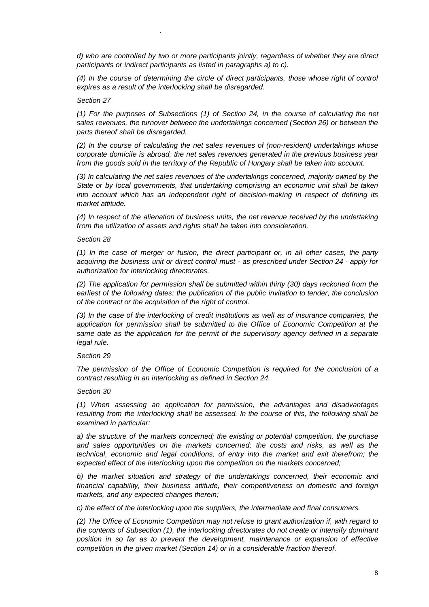*d) who are controlled by two or more participants jointly, regardless of whether they are direct participants or indirect participants as listed in paragraphs a) to c).* 

*(4) In the course of determining the circle of direct participants, those whose right of control expires as a result of the interlocking shall be disregarded.* 

#### *Section 27*

.

*(1) For the purposes of Subsections (1) of Section 24, in the course of calculating the net sales revenues, the turnover between the undertakings concerned (Section 26) or between the parts thereof shall be disregarded.* 

*(2) In the course of calculating the net sales revenues of (non-resident) undertakings whose corporate domicile is abroad, the net sales revenues generated in the previous business year from the goods sold in the territory of the Republic of Hungary shall be taken into account.* 

*(3) In calculating the net sales revenues of the undertakings concerned, majority owned by the State or by local governments, that undertaking comprising an economic unit shall be taken into account which has an independent right of decision-making in respect of defining its market attitude.* 

*(4) In respect of the alienation of business units, the net revenue received by the undertaking from the utilization of assets and rights shall be taken into consideration.* 

#### *Section 28*

*(1) In the case of merger or fusion, the direct participant or, in all other cases, the party acquiring the business unit or direct control must - as prescribed under Section 24 - apply for authorization for interlocking directorates.* 

*(2) The application for permission shall be submitted within thirty (30) days reckoned from the earliest of the following dates: the publication of the public invitation to tender, the conclusion of the contract or the acquisition of the right of control.* 

*(3) In the case of the interlocking of credit institutions as well as of insurance companies, the application for permission shall be submitted to the Office of Economic Competition at the same date as the application for the permit of the supervisory agency defined in a separate legal rule.* 

#### *Section 29*

*The permission of the Office of Economic Competition is required for the conclusion of a contract resulting in an interlocking as defined in Section 24.* 

#### *Section 30*

*(1) When assessing an application for permission, the advantages and disadvantages resulting from the interlocking shall be assessed. In the course of this, the following shall be examined in particular:* 

*a) the structure of the markets concerned; the existing or potential competition, the purchase and sales opportunities on the markets concerned; the costs and risks, as well as the technical, economic and legal conditions, of entry into the market and exit therefrom; the expected effect of the interlocking upon the competition on the markets concerned;* 

*b) the market situation and strategy of the undertakings concerned, their economic and financial capability, their business attitude, their competitiveness on domestic and foreign markets, and any expected changes therein;* 

*c) the effect of the interlocking upon the suppliers, the intermediate and final consumers.* 

*(2) The Office of Economic Competition may not refuse to grant authorization if, with regard to the contents of Subsection (1), the interlocking directorates do not create or intensify dominant position in so far as to prevent the development, maintenance or expansion of effective competition in the given market (Section 14) or in a considerable fraction thereof.*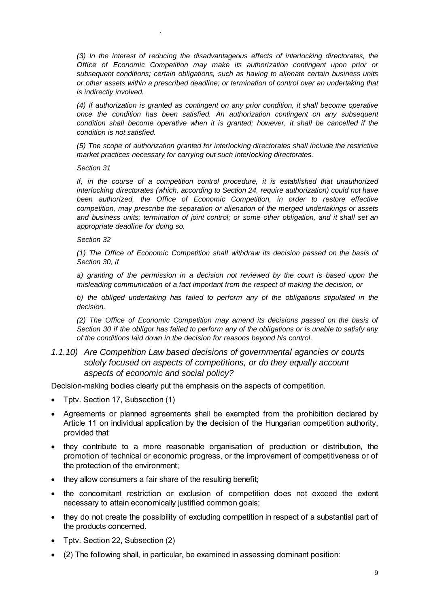*(3) In the interest of reducing the disadvantageous effects of interlocking directorates, the Office of Economic Competition may make its authorization contingent upon prior or subsequent conditions; certain obligations, such as having to alienate certain business units or other assets within a prescribed deadline; or termination of control over an undertaking that is indirectly involved.* 

*(4) If authorization is granted as contingent on any prior condition, it shall become operative once the condition has been satisfied. An authorization contingent on any subsequent condition shall become operative when it is granted; however, it shall be cancelled if the condition is not satisfied.* 

*(5) The scope of authorization granted for interlocking directorates shall include the restrictive market practices necessary for carrying out such interlocking directorates.* 

*Section 31* 

.

*If, in the course of a competition control procedure, it is established that unauthorized interlocking directorates (which, according to Section 24, require authorization) could not have*  been authorized, the Office of Economic Competition, in order to restore effective *competition, may prescribe the separation or alienation of the merged undertakings or assets and business units; termination of joint control; or some other obligation, and it shall set an appropriate deadline for doing so.* 

*Section 32* 

*(1) The Office of Economic Competition shall withdraw its decision passed on the basis of Section 30, if* 

*a) granting of the permission in a decision not reviewed by the court is based upon the misleading communication of a fact important from the respect of making the decision, or* 

*b) the obliged undertaking has failed to perform any of the obligations stipulated in the decision.* 

*(2) The Office of Economic Competition may amend its decisions passed on the basis of Section 30 if the obligor has failed to perform any of the obligations or is unable to satisfy any of the conditions laid down in the decision for reasons beyond his control.* 

*1.1.10) Are Competition Law based decisions of governmental agancies or courts solely focused on aspects of competitions, or do they equally account aspects of economic and social policy?* 

Decision-making bodies clearly put the emphasis on the aspects of competition.

- Tptv. Section 17, Subsection (1)
- Agreements or planned agreements shall be exempted from the prohibition declared by Article 11 on individual application by the decision of the Hungarian competition authority, provided that
- they contribute to a more reasonable organisation of production or distribution, the promotion of technical or economic progress, or the improvement of competitiveness or of the protection of the environment;
- they allow consumers a fair share of the resulting benefit:
- the concomitant restriction or exclusion of competition does not exceed the extent necessary to attain economically justified common goals;
- they do not create the possibility of excluding competition in respect of a substantial part of the products concerned.
- Tptv. Section 22, Subsection (2)
- (2) The following shall, in particular, be examined in assessing dominant position: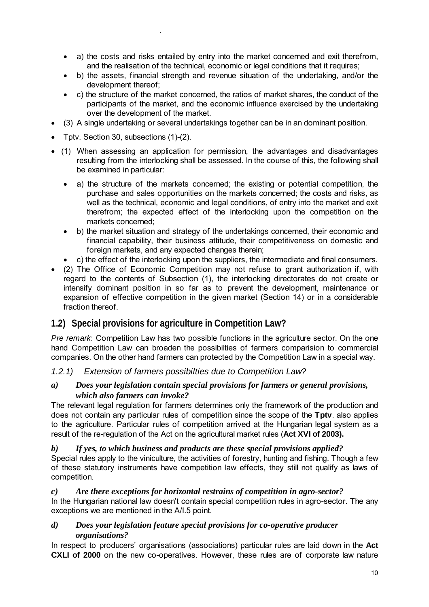- a) the costs and risks entailed by entry into the market concerned and exit therefrom, and the realisation of the technical, economic or legal conditions that it requires;
- b) the assets, financial strength and revenue situation of the undertaking, and/or the development thereof;
- c) the structure of the market concerned, the ratios of market shares, the conduct of the participants of the market, and the economic influence exercised by the undertaking over the development of the market.
- (3) A single undertaking or several undertakings together can be in an dominant position.
- Tptv. Section 30, subsections (1)-(2).

.

- (1) When assessing an application for permission, the advantages and disadvantages resulting from the interlocking shall be assessed. In the course of this, the following shall be examined in particular:
	- a) the structure of the markets concerned; the existing or potential competition, the purchase and sales opportunities on the markets concerned; the costs and risks, as well as the technical, economic and legal conditions, of entry into the market and exit therefrom; the expected effect of the interlocking upon the competition on the markets concerned;
	- b) the market situation and strategy of the undertakings concerned, their economic and financial capability, their business attitude, their competitiveness on domestic and foreign markets, and any expected changes therein;
	- c) the effect of the interlocking upon the suppliers, the intermediate and final consumers.
- (2) The Office of Economic Competition may not refuse to grant authorization if, with regard to the contents of Subsection (1), the interlocking directorates do not create or intensify dominant position in so far as to prevent the development, maintenance or expansion of effective competition in the given market (Section 14) or in a considerable fraction thereof.

# **1.2) Special provisions for agriculture in Competition Law?**

*Pre remark*: Competition Law has two possible functions in the agriculture sector. On the one hand Competition Law can broaden the possibilties of farmers comparision to commercial companies. On the other hand farmers can protected by the Competition Law in a special way.

# *1.2.1) Extension of farmers possibilties due to Competition Law?*

### *a) Does your legislation contain special provisions for farmers or general provisions, which also farmers can invoke?*

The relevant legal regulation for farmers determines only the framework of the production and does not contain any particular rules of competition since the scope of the **Tptv**. also applies to the agriculture. Particular rules of competition arrived at the Hungarian legal system as a result of the re-regulation of the Act on the agricultural market rules (**Act XVI of 2003).**

### *b) If yes, to which business and products are these special provisions applied?*

Special rules apply to the viniculture, the activities of forestry, hunting and fishing. Though a few of these statutory instruments have competition law effects, they still not qualify as laws of competition.

### *c) Are there exceptions for horizontal restrains of competition in agro-sector?*

In the Hungarian national law doesn't contain special competition rules in agro-sector. The any exceptions we are mentioned in the A/I.5 point.

# *d) Does your legislation feature special provisions for co-operative producer organisations?*

In respect to producers' organisations (associations) particular rules are laid down in the **Act CXLI of 2000** on the new co-operatives. However, these rules are of corporate law nature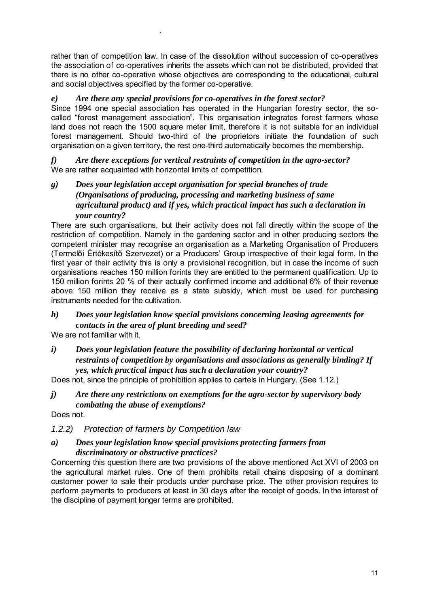rather than of competition law. In case of the dissolution without succession of co-operatives the association of co-operatives inherits the assets which can not be distributed, provided that there is no other co-operative whose objectives are corresponding to the educational, cultural and social objectives specified by the former co-operative.

# *e) Are there any special provisions for co-operatives in the forest sector?*

Since 1994 one special association has operated in the Hungarian forestry sector, the socalled "forest management association". This organisation integrates forest farmers whose land does not reach the 1500 square meter limit, therefore it is not suitable for an individual forest management. Should two-third of the proprietors initiate the foundation of such organisation on a given territory, the rest one-third automatically becomes the membership.

*f) Are there exceptions for vertical restraints of competition in the agro-sector?*  We are rather acquainted with horizontal limits of competition.

*g) Does your legislation accept organisation for special branches of trade (Organisations of producing, processing and marketing business of same agricultural product) and if yes, which practical impact has such a declaration in your country?* 

There are such organisations, but their activity does not fall directly within the scope of the restriction of competition. Namely in the gardening sector and in other producing sectors the competent minister may recognise an organisation as a Marketing Organisation of Producers (Termelői Értékesítő Szervezet) or a Producers' Group irrespective of their legal form. In the first year of their activity this is only a provisional recognition, but in case the income of such organisations reaches 150 million forints they are entitled to the permanent qualification. Up to 150 million forints 20 % of their actually confirmed income and additional 6% of their revenue above 150 million they receive as a state subsidy, which must be used for purchasing instruments needed for the cultivation.

### *h) Does your legislation know special provisions concerning leasing agreements for contacts in the area of plant breeding and seed?*

We are not familiar with it.

.

*i) Does your legislation feature the possibility of declaring horizontal or vertical restraints of competition by organisations and associations as generally binding? If yes, which practical impact has such a declaration your country?* 

Does not, since the principle of prohibition applies to cartels in Hungary. (See 1.12.)

*j) Are there any restrictions on exemptions for the agro-sector by supervisory body combating the abuse of exemptions?* 

Does not.

# *1.2.2) Protection of farmers by Competition law*

### *a) Does your legislation know special provisions protecting farmers from discriminatory or obstructive practices?*

Concerning this question there are two provisions of the above mentioned Act XVI of 2003 on the agricultural market rules. One of them prohibits retail chains disposing of a dominant customer power to sale their products under purchase price. The other provision requires to perform payments to producers at least in 30 days after the receipt of goods. In the interest of the discipline of payment longer terms are prohibited.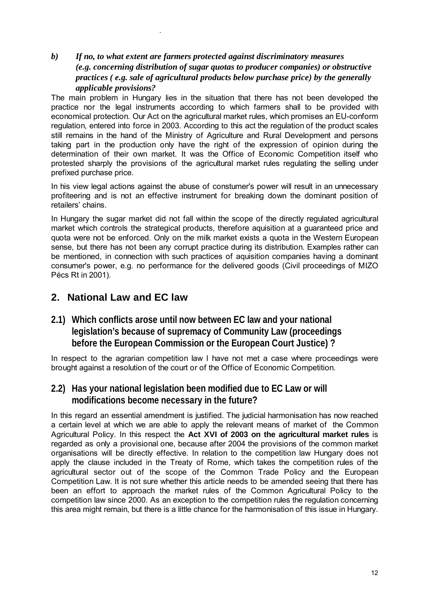# *b) If no, to what extent are farmers protected against discriminatory measures (e.g. concerning distribution of sugar quotas to producer companies) or obstructive practices ( e.g. sale of agricultural products below purchase price) by the generally applicable provisions?*

The main problem in Hungary lies in the situation that there has not been developed the practice nor the legal instruments according to which farmers shall to be provided with economical protection. Our Act on the agricultural market rules, which promises an EU-conform regulation, entered into force in 2003. According to this act the regulation of the product scales still remains in the hand of the Ministry of Agriculture and Rural Development and persons taking part in the production only have the right of the expression of opinion during the determination of their own market. It was the Office of Economic Competition itself who protested sharply the provisions of the agricultural market rules regulating the selling under prefixed purchase price.

In his view legal actions against the abuse of constumer's power will result in an unnecessary profiteering and is not an effective instrument for breaking down the dominant position of retailers' chains.

In Hungary the sugar market did not fall within the scope of the directly regulated agricultural market which controls the strategical products, therefore aquisition at a guaranteed price and quota were not be enforced. Only on the milk market exists a quota in the Western European sense, but there has not been any corrupt practice during its distribution. Examples rather can be mentioned, in connection with such practices of aquisition companies having a dominant consumer's power, e.g. no performance for the delivered goods (Civil proceedings of MIZO Pécs Rt in 2001).

# **2. National Law and EC law**

.

# **2.1) Which conflicts arose until now between EC law and your national legislation's because of supremacy of Community Law (proceedings before the European Commission or the European Court Justice) ?**

In respect to the agrarian competition law I have not met a case where proceedings were brought against a resolution of the court or of the Office of Economic Competition.

# **2.2) Has your national legislation been modified due to EC Law or will modifications become necessary in the future?**

In this regard an essential amendment is justified. The judicial harmonisation has now reached a certain level at which we are able to apply the relevant means of market of the Common Agricultural Policy. In this respect the **Act XVI of 2003 on the agricultural market rules** is regarded as only a provisional one, because after 2004 the provisions of the common market organisations will be directly effective. In relation to the competition law Hungary does not apply the clause included in the Treaty of Rome, which takes the competition rules of the agricultural sector out of the scope of the Common Trade Policy and the European Competition Law. It is not sure whether this article needs to be amended seeing that there has been an effort to approach the market rules of the Common Agricultural Policy to the competition law since 2000. As an exception to the competition rules the regulation concerning this area might remain, but there is a little chance for the harmonisation of this issue in Hungary.